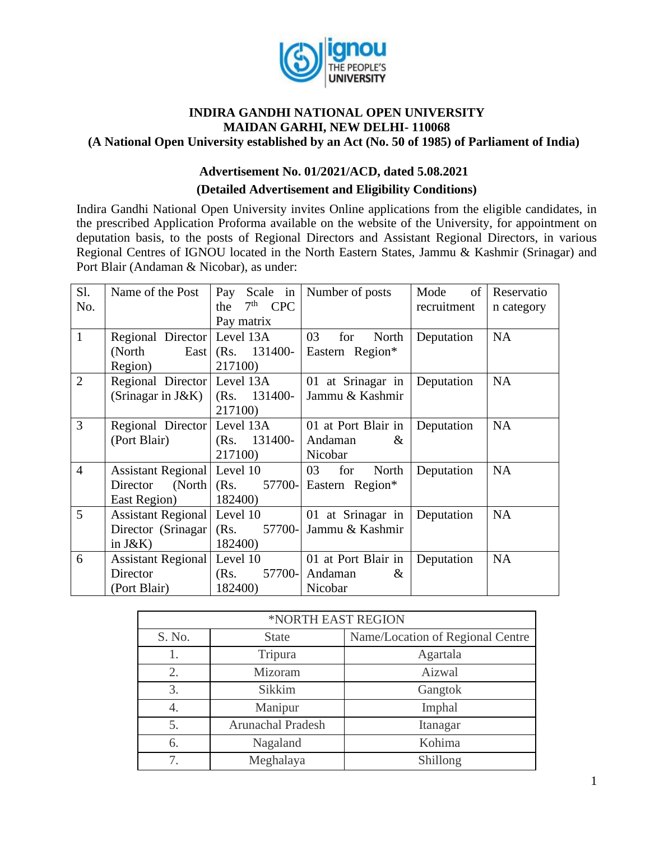

#### **INDIRA GANDHI NATIONAL OPEN UNIVERSITY MAIDAN GARHI, NEW DELHI- 110068 (A National Open University established by an Act (No. 50 of 1985) of Parliament of India)**

# **Advertisement No. 01/2021/ACD, dated 5.08.2021**

# **(Detailed Advertisement and Eligibility Conditions)**

Indira Gandhi National Open University invites Online applications from the eligible candidates, in the prescribed Application Proforma available on the website of the University, for appointment on deputation basis, to the posts of Regional Directors and Assistant Regional Directors, in various Regional Centres of IGNOU located in the North Eastern States, Jammu & Kashmir (Srinagar) and Port Blair (Andaman & Nicobar), as under:

| Sl.            | Name of the Post            | Pay Scale in        | Number of posts        | of<br>Mode  | Reservatio |
|----------------|-----------------------------|---------------------|------------------------|-------------|------------|
| No.            |                             | $7th$ CPC<br>the    |                        | recruitment | n category |
|                |                             | Pay matrix          |                        |             |            |
| $\mathbf{1}$   | Regional Director Level 13A |                     | 03<br>North<br>for     | Deputation  | <b>NA</b>  |
|                | (North                      | East $(Rs. 131400-$ | Eastern Region*        |             |            |
|                | Region)                     | 217100)             |                        |             |            |
| $\overline{2}$ | Regional Director Level 13A |                     | 01 at Srinagar in      | Deputation  | <b>NA</b>  |
|                | (Srinagar in J&K)           | $(Rs. 131400-$      | Jammu & Kashmir        |             |            |
|                |                             | 217100)             |                        |             |            |
| 3              | Regional Director Level 13A |                     | 01 at Port Blair in    | Deputation  | <b>NA</b>  |
|                | (Port Blair)                | $(Rs. 131400-$      | Andaman<br>$\&$        |             |            |
|                |                             | 217100)             | Nicobar                |             |            |
| $\overline{4}$ | Assistant Regional Level 10 |                     | for<br>03<br>North     | Deputation  | <b>NA</b>  |
|                | Director                    | (North   (Rs.       | 57700- Eastern Region* |             |            |
|                | East Region)                | 182400)             |                        |             |            |
| 5              | Assistant Regional Level 10 |                     | 01 at Srinagar in      | Deputation  | <b>NA</b>  |
|                | Director (Srinagar) (Rs.    | 57700-              | Jammu & Kashmir        |             |            |
|                | in $J\&K$ )                 | 182400)             |                        |             |            |
| 6              | Assistant Regional Level 10 |                     | 01 at Port Blair in    | Deputation  | <b>NA</b>  |
|                | Director                    | 57700-<br>(Rs.      | Andaman<br>$\&$        |             |            |
|                | (Port Blair)                | 182400)             | Nicobar                |             |            |

| *NORTH EAST REGION |                          |                                  |  |
|--------------------|--------------------------|----------------------------------|--|
| S. No.             | <b>State</b>             | Name/Location of Regional Centre |  |
|                    | Tripura                  | Agartala                         |  |
| 2.                 | Mizoram                  | Aizwal                           |  |
| 3.                 | Sikkim                   | Gangtok                          |  |
| 4.                 | Manipur                  | Imphal                           |  |
| 5.                 | <b>Arunachal Pradesh</b> | Itanagar                         |  |
| 6.                 | Nagaland                 | Kohima                           |  |
|                    | Meghalaya                | Shillong                         |  |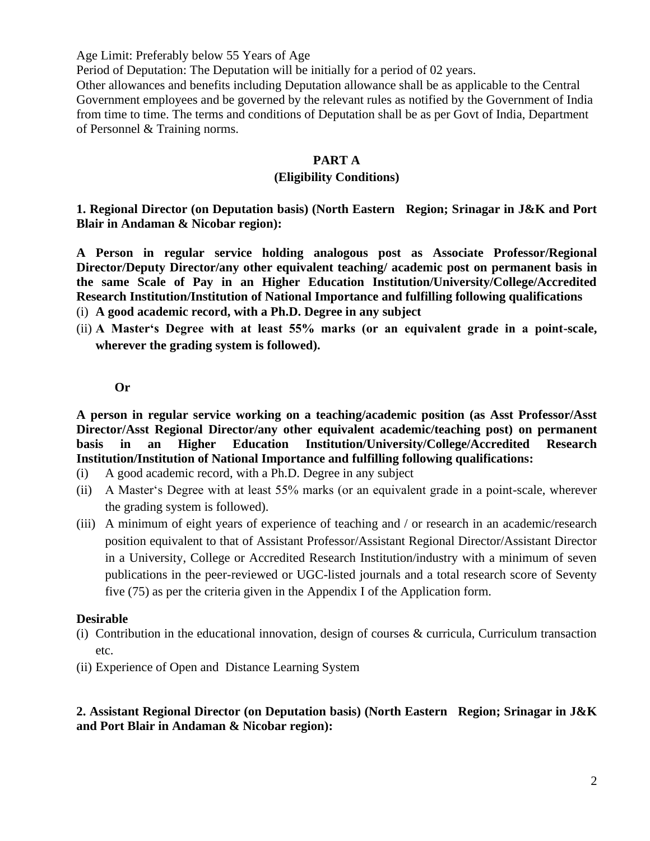Age Limit: Preferably below 55 Years of Age

Period of Deputation: The Deputation will be initially for a period of 02 years.

Other allowances and benefits including Deputation allowance shall be as applicable to the Central Government employees and be governed by the relevant rules as notified by the Government of India from time to time. The terms and conditions of Deputation shall be as per Govt of India, Department of Personnel & Training norms.

#### **PART A**

#### **(Eligibility Conditions)**

**1. Regional Director (on Deputation basis) (North Eastern Region; Srinagar in J&K and Port Blair in Andaman & Nicobar region):**

**A Person in regular service holding analogous post as Associate Professor/Regional Director/Deputy Director/any other equivalent teaching/ academic post on permanent basis in the same Scale of Pay in an Higher Education Institution/University/College/Accredited Research Institution/Institution of National Importance and fulfilling following qualifications**  (i) **A good academic record, with a Ph.D. Degree in any subject** 

(ii) **A Master's Degree with at least 55% marks (or an equivalent grade in a point-scale, wherever the grading system is followed).**

#### **Or**

**A person in regular service working on a teaching/academic position (as Asst Professor/Asst Director/Asst Regional Director/any other equivalent academic/teaching post) on permanent basis in an Higher Education Institution/University/College/Accredited Research Institution/Institution of National Importance and fulfilling following qualifications:**

- (i) A good academic record, with a Ph.D. Degree in any subject
- (ii) A Master's Degree with at least 55% marks (or an equivalent grade in a point-scale, wherever the grading system is followed).
- (iii) A minimum of eight years of experience of teaching and / or research in an academic/research position equivalent to that of Assistant Professor/Assistant Regional Director/Assistant Director in a University, College or Accredited Research Institution/industry with a minimum of seven publications in the peer-reviewed or UGC-listed journals and a total research score of Seventy five (75) as per the criteria given in the Appendix I of the Application form.

#### **Desirable**

- (i) Contribution in the educational innovation, design of courses & curricula, Curriculum transaction etc.
- (ii) Experience of Open and Distance Learning System

#### **2. Assistant Regional Director (on Deputation basis) (North Eastern Region; Srinagar in J&K and Port Blair in Andaman & Nicobar region):**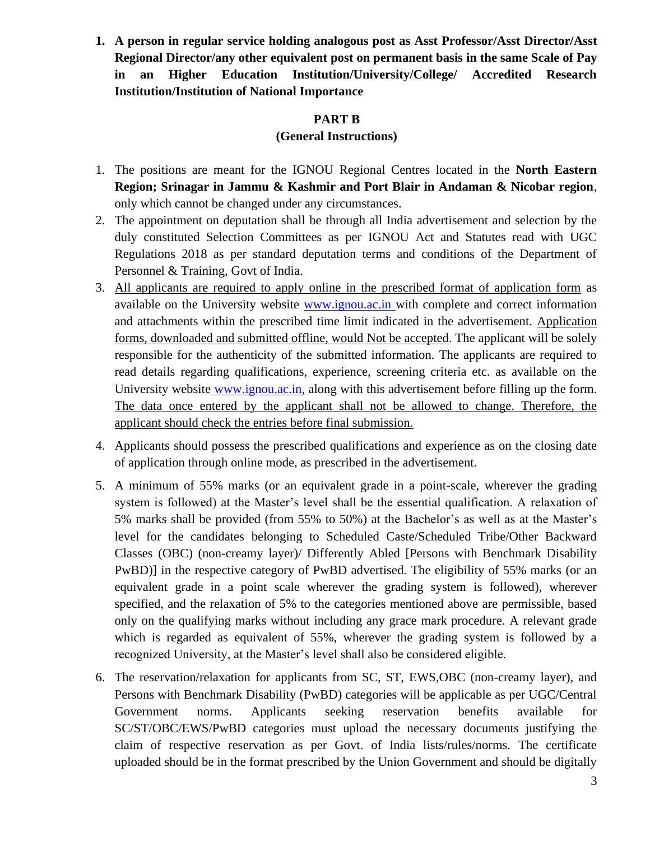**1. A person in regular service holding analogous post as Asst Professor/Asst Director/Asst Regional Director/any other equivalent post on permanent basis in the same Scale of Pay in an Higher Education Institution/University/College/ Accredited Research Institution/Institution of National Importance** 

#### **PART B**

#### **(General Instructions)**

- 1. The positions are meant for the IGNOU Regional Centres located in the **North Eastern Region; Srinagar in Jammu & Kashmir and Port Blair in Andaman & Nicobar region**, only which cannot be changed under any circumstances.
- 2. The appointment on deputation shall be through all India advertisement and selection by the duly constituted Selection Committees as per IGNOU Act and Statutes read with UGC Regulations 2018 as per standard deputation terms and conditions of the Department of Personnel & Training, Govt of India.
- 3. All applicants are required to apply online in the prescribed format of application form as available on the University website [www.ignou.ac.in](http://www.ignou.ac.in/) with complete and correct information and attachments within the prescribed time limit indicated in the advertisement. Application forms, downloaded and submitted offline, would Not be accepted. The applicant will be solely responsible for the authenticity of the submitted information. The applicants are required to read details regarding qualifications, experience, screening criteria etc. as available on the University website www.ignou.ac.in, along with this advertisement before filling up the form. The data once entered by the applicant shall not be allowed to change. Therefore, the applicant should check the entries before final submission.
- 4. Applicants should possess the prescribed qualifications and experience as on the closing date of application through online mode, as prescribed in the advertisement.
- 5. A minimum of 55% marks (or an equivalent grade in a point-scale, wherever the grading system is followed) at the Master's level shall be the essential qualification. A relaxation of 5% marks shall be provided (from 55% to 50%) at the Bachelor's as well as at the Master's level for the candidates belonging to Scheduled Caste/Scheduled Tribe/Other Backward Classes (OBC) (non-creamy layer)/ Differently Abled [Persons with Benchmark Disability PwBD)] in the respective category of PwBD advertised. The eligibility of 55% marks (or an equivalent grade in a point scale wherever the grading system is followed), wherever specified, and the relaxation of 5% to the categories mentioned above are permissible, based only on the qualifying marks without including any grace mark procedure. A relevant grade which is regarded as equivalent of 55%, wherever the grading system is followed by a recognized University, at the Master's level shall also be considered eligible.
- 6. The reservation/relaxation for applicants from SC, ST, EWS,OBC (non-creamy layer), and Persons with Benchmark Disability (PwBD) categories will be applicable as per UGC/Central Government norms. Applicants seeking reservation benefits available for SC/ST/OBC/EWS/PwBD categories must upload the necessary documents justifying the claim of respective reservation as per Govt. of India lists/rules/norms. The certificate uploaded should be in the format prescribed by the Union Government and should be digitally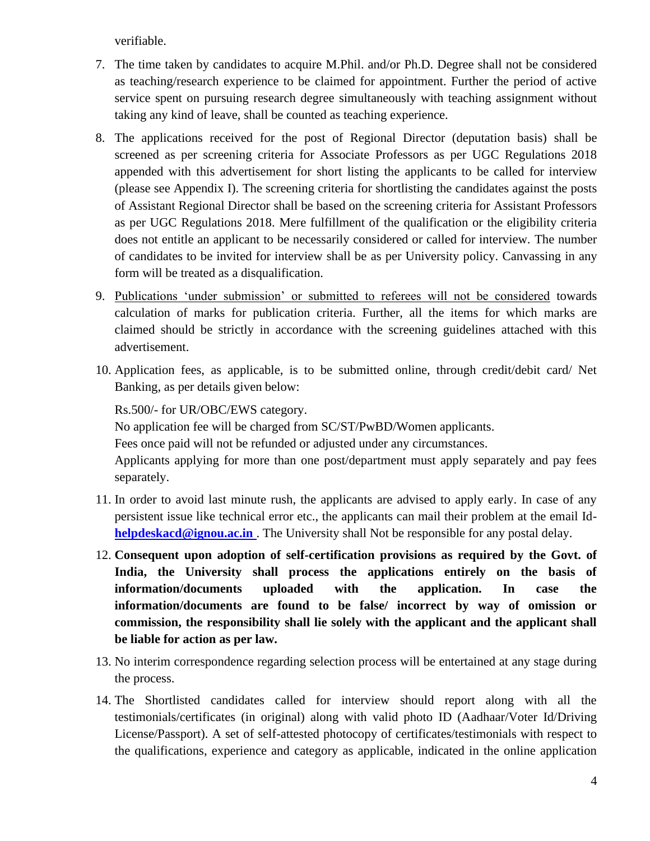verifiable.

- 7. The time taken by candidates to acquire M.Phil. and/or Ph.D. Degree shall not be considered as teaching/research experience to be claimed for appointment. Further the period of active service spent on pursuing research degree simultaneously with teaching assignment without taking any kind of leave, shall be counted as teaching experience.
- 8. The applications received for the post of Regional Director (deputation basis) shall be screened as per screening criteria for Associate Professors as per UGC Regulations 2018 appended with this advertisement for short listing the applicants to be called for interview (please see Appendix I). The screening criteria for shortlisting the candidates against the posts of Assistant Regional Director shall be based on the screening criteria for Assistant Professors as per UGC Regulations 2018. Mere fulfillment of the qualification or the eligibility criteria does not entitle an applicant to be necessarily considered or called for interview. The number of candidates to be invited for interview shall be as per University policy. Canvassing in any form will be treated as a disqualification.
- 9. Publications 'under submission' or submitted to referees will not be considered towards calculation of marks for publication criteria. Further, all the items for which marks are claimed should be strictly in accordance with the screening guidelines attached with this advertisement.
- 10. Application fees, as applicable, is to be submitted online, through credit/debit card/ Net Banking, as per details given below:

Rs.500/- for UR/OBC/EWS category.

No application fee will be charged from SC/ST/PwBD/Women applicants.

Fees once paid will not be refunded or adjusted under any circumstances.

Applicants applying for more than one post/department must apply separately and pay fees separately.

- 11. In order to avoid last minute rush, the applicants are advised to apply early. In case of any persistent issue like technical error etc., the applicants can mail their problem at the email Id**[helpdeskacd@ignou.ac.in](mailto:%20helpdeskacd@ignou.ac.in)** . The University shall Not be responsible for any postal delay.
- 12. **Consequent upon adoption of self-certification provisions as required by the Govt. of India, the University shall process the applications entirely on the basis of information/documents uploaded with the application. In case the information/documents are found to be false/ incorrect by way of omission or commission, the responsibility shall lie solely with the applicant and the applicant shall be liable for action as per law.**
- 13. No interim correspondence regarding selection process will be entertained at any stage during the process.
- 14. The Shortlisted candidates called for interview should report along with all the testimonials/certificates (in original) along with valid photo ID (Aadhaar/Voter Id/Driving License/Passport). A set of self-attested photocopy of certificates/testimonials with respect to the qualifications, experience and category as applicable, indicated in the online application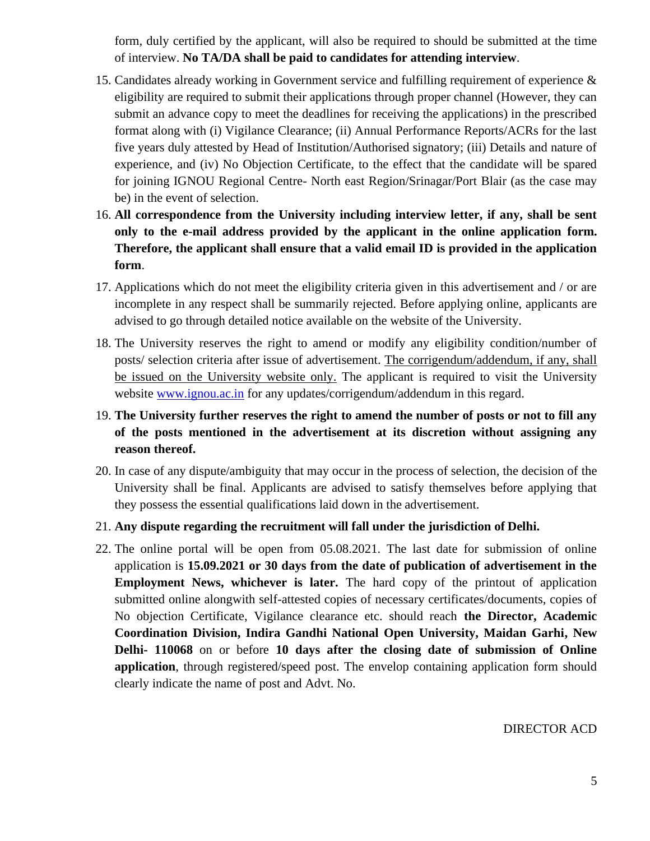form, duly certified by the applicant, will also be required to should be submitted at the time of interview. **No TA/DA shall be paid to candidates for attending interview**.

- 15. Candidates already working in Government service and fulfilling requirement of experience & eligibility are required to submit their applications through proper channel (However, they can submit an advance copy to meet the deadlines for receiving the applications) in the prescribed format along with (i) Vigilance Clearance; (ii) Annual Performance Reports/ACRs for the last five years duly attested by Head of Institution/Authorised signatory; (iii) Details and nature of experience, and (iv) No Objection Certificate, to the effect that the candidate will be spared for joining IGNOU Regional Centre- North east Region/Srinagar/Port Blair (as the case may be) in the event of selection.
- 16. **All correspondence from the University including interview letter, if any, shall be sent only to the e-mail address provided by the applicant in the online application form. Therefore, the applicant shall ensure that a valid email ID is provided in the application form**.
- 17. Applications which do not meet the eligibility criteria given in this advertisement and / or are incomplete in any respect shall be summarily rejected. Before applying online, applicants are advised to go through detailed notice available on the website of the University.
- 18. The University reserves the right to amend or modify any eligibility condition/number of posts/ selection criteria after issue of advertisement. The corrigendum/addendum, if any, shall be issued on the University website only. The applicant is required to visit the University website [www.ignou.ac.in](http://www.ignou.ac.in/) for any updates/corrigendum/addendum in this regard.
- 19. **The University further reserves the right to amend the number of posts or not to fill any of the posts mentioned in the advertisement at its discretion without assigning any reason thereof.**
- 20. In case of any dispute/ambiguity that may occur in the process of selection, the decision of the University shall be final. Applicants are advised to satisfy themselves before applying that they possess the essential qualifications laid down in the advertisement.
- 21. **Any dispute regarding the recruitment will fall under the jurisdiction of Delhi.**
- 22. The online portal will be open from 05.08.2021. The last date for submission of online application is **15.09.2021 or 30 days from the date of publication of advertisement in the Employment News, whichever is later.** The hard copy of the printout of application submitted online alongwith self-attested copies of necessary certificates/documents, copies of No objection Certificate, Vigilance clearance etc. should reach **the Director, Academic Coordination Division, Indira Gandhi National Open University, Maidan Garhi, New Delhi- 110068** on or before **10 days after the closing date of submission of Online application**, through registered/speed post. The envelop containing application form should clearly indicate the name of post and Advt. No.

DIRECTOR ACD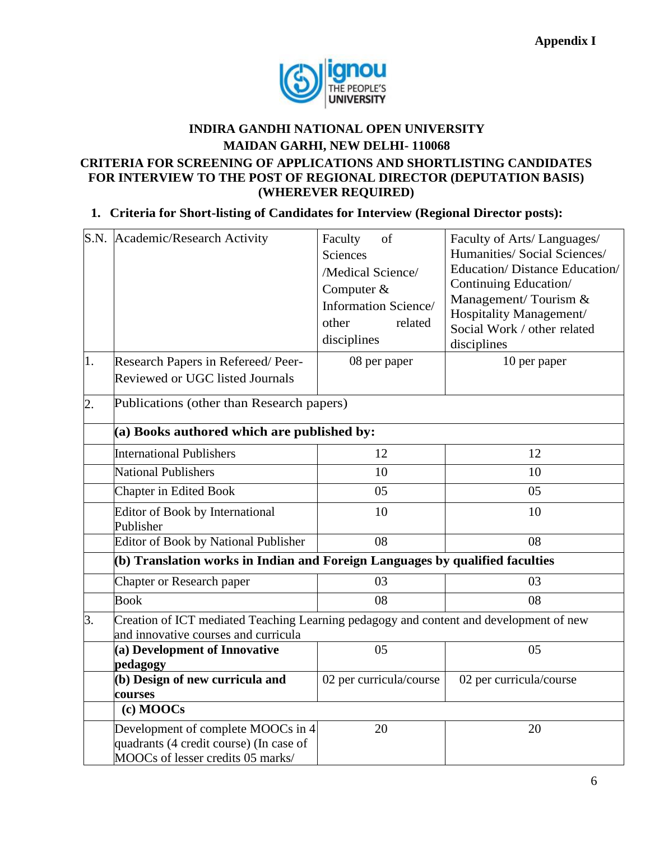

## **INDIRA GANDHI NATIONAL OPEN UNIVERSITY MAIDAN GARHI, NEW DELHI- 110068 CRITERIA FOR SCREENING OF APPLICATIONS AND SHORTLISTING CANDIDATES FOR INTERVIEW TO THE POST OF REGIONAL DIRECTOR (DEPUTATION BASIS) (WHEREVER REQUIRED)**

### **1. Criteria for Short-listing of Candidates for Interview (Regional Director posts):**

|                  | S.N. Academic/Research Activity                                                                                    | Faculty<br>of<br><b>Sciences</b><br>/Medical Science/<br>Computer &<br>Information Science/<br>other<br>related<br>disciplines | Faculty of Arts/Languages/<br>Humanities/ Social Sciences/<br><b>Education/Distance Education/</b><br>Continuing Education/<br>Management/Tourism &<br>Hospitality Management/<br>Social Work / other related<br>disciplines |  |
|------------------|--------------------------------------------------------------------------------------------------------------------|--------------------------------------------------------------------------------------------------------------------------------|------------------------------------------------------------------------------------------------------------------------------------------------------------------------------------------------------------------------------|--|
| 1.               | Research Papers in Refereed/Peer-<br>Reviewed or UGC listed Journals                                               | 08 per paper                                                                                                                   | 10 per paper                                                                                                                                                                                                                 |  |
| $\overline{2}$ . | Publications (other than Research papers)                                                                          |                                                                                                                                |                                                                                                                                                                                                                              |  |
|                  | (a) Books authored which are published by:                                                                         |                                                                                                                                |                                                                                                                                                                                                                              |  |
|                  | <b>International Publishers</b>                                                                                    | 12                                                                                                                             | 12                                                                                                                                                                                                                           |  |
|                  | <b>National Publishers</b>                                                                                         | 10                                                                                                                             | 10                                                                                                                                                                                                                           |  |
|                  | <b>Chapter in Edited Book</b>                                                                                      | 05                                                                                                                             | 05                                                                                                                                                                                                                           |  |
|                  | <b>Editor of Book by International</b><br>Publisher                                                                | 10                                                                                                                             | 10                                                                                                                                                                                                                           |  |
|                  | <b>Editor of Book by National Publisher</b>                                                                        | 08                                                                                                                             | 08                                                                                                                                                                                                                           |  |
|                  | (b) Translation works in Indian and Foreign Languages by qualified faculties                                       |                                                                                                                                |                                                                                                                                                                                                                              |  |
|                  | <b>Chapter or Research paper</b>                                                                                   | 03                                                                                                                             | 03                                                                                                                                                                                                                           |  |
|                  | <b>Book</b>                                                                                                        | 08                                                                                                                             | 08                                                                                                                                                                                                                           |  |
| 3.               | and innovative courses and curricula                                                                               | Creation of ICT mediated Teaching Learning pedagogy and content and development of new                                         |                                                                                                                                                                                                                              |  |
|                  | (a) Development of Innovative<br>pedagogy                                                                          | 05                                                                                                                             | 05                                                                                                                                                                                                                           |  |
|                  | (b) Design of new curricula and<br>courses                                                                         | 02 per curricula/course                                                                                                        | 02 per curricula/course                                                                                                                                                                                                      |  |
|                  | (c) MOOCs                                                                                                          |                                                                                                                                |                                                                                                                                                                                                                              |  |
|                  | Development of complete MOOCs in 4<br>quadrants (4 credit course) (In case of<br>MOOCs of lesser credits 05 marks/ | 20                                                                                                                             | 20                                                                                                                                                                                                                           |  |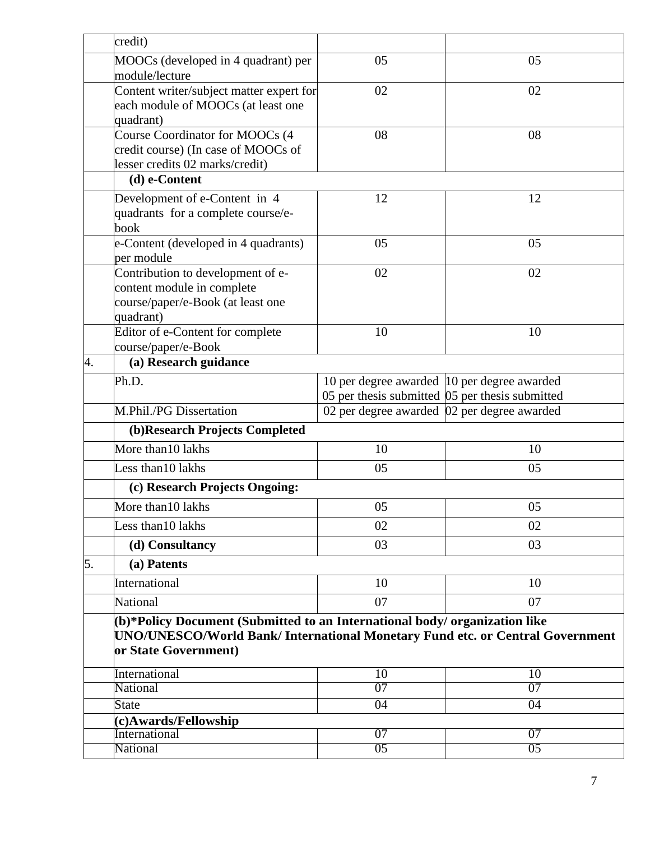|                                                                        | credit)                                                                                                                                                                             |                                                                                                    |          |  |
|------------------------------------------------------------------------|-------------------------------------------------------------------------------------------------------------------------------------------------------------------------------------|----------------------------------------------------------------------------------------------------|----------|--|
|                                                                        | MOOCs (developed in 4 quadrant) per<br>module/lecture                                                                                                                               | 05                                                                                                 | 05       |  |
|                                                                        | Content writer/subject matter expert for<br>each module of MOOCs (at least one<br>quadrant)                                                                                         | 02                                                                                                 | 02       |  |
|                                                                        | Course Coordinator for MOOCs (4<br>credit course) (In case of MOOCs of<br>lesser credits 02 marks/credit)                                                                           | 08                                                                                                 | 08       |  |
|                                                                        | (d) e-Content                                                                                                                                                                       |                                                                                                    |          |  |
|                                                                        | Development of e-Content in 4<br>quadrants for a complete course/e-<br>book                                                                                                         | 12                                                                                                 | 12       |  |
|                                                                        | e-Content (developed in 4 quadrants)<br>per module                                                                                                                                  | 05                                                                                                 | 05       |  |
|                                                                        | Contribution to development of e-<br>content module in complete<br>course/paper/e-Book (at least one<br>quadrant)                                                                   | 02                                                                                                 | 02       |  |
|                                                                        | Editor of e-Content for complete<br>course/paper/e-Book                                                                                                                             | 10                                                                                                 | 10       |  |
| 4.                                                                     | (a) Research guidance                                                                                                                                                               |                                                                                                    |          |  |
|                                                                        | Ph.D.                                                                                                                                                                               | 10 per degree awarded 10 per degree awarded<br>05 per thesis submitted $ 05 $ per thesis submitted |          |  |
| M.Phil./PG Dissertation<br>02 per degree awarded 02 per degree awarded |                                                                                                                                                                                     |                                                                                                    |          |  |
|                                                                        | (b) Research Projects Completed                                                                                                                                                     |                                                                                                    |          |  |
|                                                                        | More than 10 lakhs                                                                                                                                                                  | 10                                                                                                 | 10       |  |
|                                                                        | Less than 10 lakhs                                                                                                                                                                  | 05                                                                                                 | 05       |  |
| (c) Research Projects Ongoing:                                         |                                                                                                                                                                                     |                                                                                                    |          |  |
|                                                                        | More than10 lakhs                                                                                                                                                                   | 05                                                                                                 | 05       |  |
|                                                                        | Less than 10 lakhs                                                                                                                                                                  | 02                                                                                                 | 02       |  |
|                                                                        | (d) Consultancy                                                                                                                                                                     | 03                                                                                                 | 03       |  |
| 5.                                                                     | (a) Patents                                                                                                                                                                         |                                                                                                    |          |  |
|                                                                        | International                                                                                                                                                                       | 10                                                                                                 | 10       |  |
|                                                                        | National                                                                                                                                                                            | 07                                                                                                 | 07       |  |
|                                                                        | (b)*Policy Document (Submitted to an International body/ organization like<br>UNO/UNESCO/World Bank/ International Monetary Fund etc. or Central Government<br>or State Government) |                                                                                                    |          |  |
|                                                                        | International                                                                                                                                                                       | 10                                                                                                 | 10       |  |
|                                                                        | National                                                                                                                                                                            | 07                                                                                                 | 07       |  |
|                                                                        | <b>State</b>                                                                                                                                                                        | 04                                                                                                 | 04       |  |
|                                                                        | (c)Awards/Fellowship                                                                                                                                                                |                                                                                                    |          |  |
|                                                                        | International<br>National                                                                                                                                                           | 07<br>05                                                                                           | 07<br>05 |  |
|                                                                        |                                                                                                                                                                                     |                                                                                                    |          |  |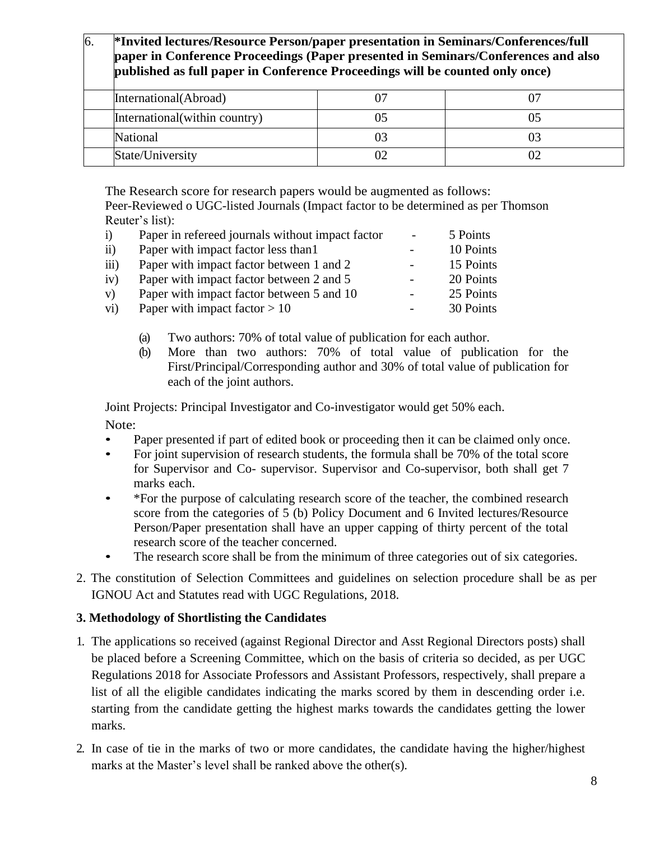# 6. **\*Invited lectures/Resource Person/paper presentation in Seminars/Conferences/full paper in Conference Proceedings (Paper presented in Seminars/Conferences and also published as full paper in Conference Proceedings will be counted only once)** International(Abroad) 07 07 07 International(within country) 05 05 05 National 03 03 03 State/University 02 02 02

The Research score for research papers would be augmented as follows:

Peer-Reviewed o UGC-listed Journals (Impact factor to be determined as per Thomson Reuter's list):

| $\mathbf{i}$     | Paper in refereed journals without impact factor | $\overline{\phantom{a}}$ | 5 Points  |
|------------------|--------------------------------------------------|--------------------------|-----------|
| $\overline{ii}$  | Paper with impact factor less than 1             |                          | 10 Points |
| $\overline{iii}$ | Paper with impact factor between 1 and 2         |                          | 15 Points |
| iv)              | Paper with impact factor between 2 and 5         |                          | 20 Points |
| V)               | Paper with impact factor between 5 and 10        | -                        | 25 Points |
| $\rm vi)$        | Paper with impact factor $> 10$                  |                          | 30 Points |

- (a) Two authors: 70% of total value of publication for each author.
- (b) More than two authors: 70% of total value of publication for the First/Principal/Corresponding author and 30% of total value of publication for each of the joint authors.

Joint Projects: Principal Investigator and Co-investigator would get 50% each.

Note:

- Paper presented if part of edited book or proceeding then it can be claimed only once.
- For joint supervision of research students, the formula shall be 70% of the total score for Supervisor and Co- supervisor. Supervisor and Co-supervisor, both shall get 7 marks each.
- \*For the purpose of calculating research score of the teacher, the combined research score from the categories of 5 (b) Policy Document and 6 Invited lectures/Resource Person/Paper presentation shall have an upper capping of thirty percent of the total research score of the teacher concerned.
- The research score shall be from the minimum of three categories out of six categories.
- 2. The constitution of Selection Committees and guidelines on selection procedure shall be as per IGNOU Act and Statutes read with UGC Regulations, 2018.

#### **3. Methodology of Shortlisting the Candidates**

- 1. The applications so received (against Regional Director and Asst Regional Directors posts) shall be placed before a Screening Committee, which on the basis of criteria so decided, as per UGC Regulations 2018 for Associate Professors and Assistant Professors, respectively, shall prepare a list of all the eligible candidates indicating the marks scored by them in descending order i.e. starting from the candidate getting the highest marks towards the candidates getting the lower marks.
- 2. In case of tie in the marks of two or more candidates, the candidate having the higher/highest marks at the Master's level shall be ranked above the other(s).